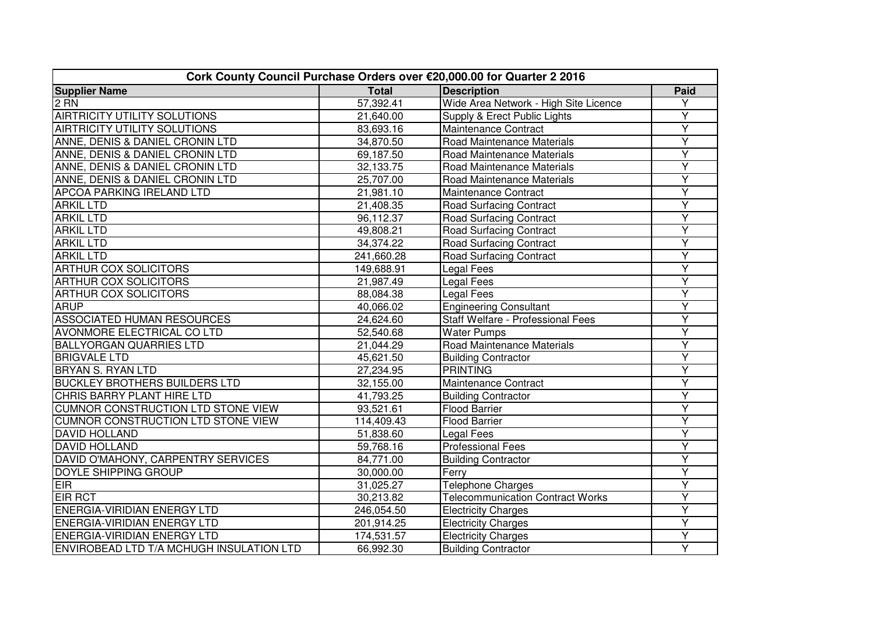| Cork County Council Purchase Orders over €20,000.00 for Quarter 2 2016 |              |                                         |                         |  |  |
|------------------------------------------------------------------------|--------------|-----------------------------------------|-------------------------|--|--|
| <b>Supplier Name</b>                                                   | <b>Total</b> | <b>Description</b>                      | Paid                    |  |  |
| $2$ RN                                                                 | 57,392.41    | Wide Area Network - High Site Licence   | Y                       |  |  |
| <b>AIRTRICITY UTILITY SOLUTIONS</b>                                    | 21,640.00    | Supply & Erect Public Lights            | Υ                       |  |  |
| <b>AIRTRICITY UTILITY SOLUTIONS</b>                                    | 83,693.16    | Maintenance Contract                    | Υ                       |  |  |
| ANNE, DENIS & DANIEL CRONIN LTD                                        | 34,870.50    | Road Maintenance Materials              | Ÿ                       |  |  |
| ANNE, DENIS & DANIEL CRONIN LTD                                        | 69,187.50    | Road Maintenance Materials              | Y                       |  |  |
| ANNE, DENIS & DANIEL CRONIN LTD                                        | 32,133.75    | Road Maintenance Materials              | Ÿ                       |  |  |
| ANNE, DENIS & DANIEL CRONIN LTD                                        | 25,707.00    | Road Maintenance Materials              | Ÿ                       |  |  |
| <b>APCOA PARKING IRELAND LTD</b>                                       | 21,981.10    | Maintenance Contract                    | Y                       |  |  |
| <b>ARKIL LTD</b>                                                       | 21,408.35    | <b>Road Surfacing Contract</b>          | Ÿ                       |  |  |
| <b>ARKIL LTD</b>                                                       | 96,112.37    | <b>Road Surfacing Contract</b>          | Ÿ                       |  |  |
| <b>ARKIL LTD</b>                                                       | 49,808.21    | <b>Road Surfacing Contract</b>          | Y                       |  |  |
| <b>ARKIL LTD</b>                                                       | 34,374.22    | <b>Road Surfacing Contract</b>          | $\overline{\mathsf{Y}}$ |  |  |
| <b>ARKIL LTD</b>                                                       | 241,660.28   | <b>Road Surfacing Contract</b>          | Ÿ                       |  |  |
| <b>ARTHUR COX SOLICITORS</b>                                           | 149,688.91   | Legal Fees                              | Y                       |  |  |
| <b>ARTHUR COX SOLICITORS</b>                                           | 21,987.49    | Legal Fees                              | Y                       |  |  |
| <b>ARTHUR COX SOLICITORS</b>                                           | 88,084.38    | <b>Legal Fees</b>                       | Υ                       |  |  |
| <b>ARUP</b>                                                            | 40,066.02    | <b>Engineering Consultant</b>           | Ý                       |  |  |
| <b>ASSOCIATED HUMAN RESOURCES</b>                                      | 24,624.60    | Staff Welfare - Professional Fees       | Y                       |  |  |
| <b>AVONMORE ELECTRICAL CO LTD</b>                                      | 52,540.68    | <b>Water Pumps</b>                      | Υ                       |  |  |
| <b>BALLYORGAN QUARRIES LTD</b>                                         | 21,044.29    | Road Maintenance Materials              | Y                       |  |  |
| <b>BRIGVALE LTD</b>                                                    | 45,621.50    | <b>Building Contractor</b>              | Ÿ                       |  |  |
| <b>BRYAN S. RYAN LTD</b>                                               | 27,234.95    | <b>PRINTING</b>                         | $\overline{Y}$          |  |  |
| <b>BUCKLEY BROTHERS BUILDERS LTD</b>                                   | 32,155.00    | Maintenance Contract                    | Ÿ                       |  |  |
| CHRIS BARRY PLANT HIRE LTD                                             | 41,793.25    | <b>Building Contractor</b>              | Ÿ                       |  |  |
| <b>CUMNOR CONSTRUCTION LTD STONE VIEW</b>                              | 93,521.61    | <b>Flood Barrier</b>                    | Y                       |  |  |
| <b>CUMNOR CONSTRUCTION LTD STONE VIEW</b>                              | 114,409.43   | <b>Flood Barrier</b>                    | Ÿ                       |  |  |
| <b>DAVID HOLLAND</b>                                                   | 51,838.60    | <b>Legal Fees</b>                       | Ÿ                       |  |  |
| <b>DAVID HOLLAND</b>                                                   | 59,768.16    | <b>Professional Fees</b>                | Ÿ                       |  |  |
| DAVID O'MAHONY, CARPENTRY SERVICES                                     | 84,771.00    | <b>Building Contractor</b>              | Ÿ                       |  |  |
| <b>DOYLE SHIPPING GROUP</b>                                            | 30,000.00    | Ferry                                   | Ÿ                       |  |  |
| <b>EIR</b>                                                             | 31,025.27    | <b>Telephone Charges</b>                | Y                       |  |  |
| <b>EIR RCT</b>                                                         | 30,213.82    | <b>Telecommunication Contract Works</b> | Υ                       |  |  |
| <b>ENERGIA-VIRIDIAN ENERGY LTD</b>                                     | 246,054.50   | <b>Electricity Charges</b>              | Ÿ                       |  |  |
| <b>ENERGIA-VIRIDIAN ENERGY LTD</b>                                     | 201,914.25   | <b>Electricity Charges</b>              | Y                       |  |  |
| <b>ENERGIA-VIRIDIAN ENERGY LTD</b>                                     | 174,531.57   | <b>Electricity Charges</b>              | Ÿ                       |  |  |
| ENVIROBEAD LTD T/A MCHUGH INSULATION LTD                               | 66,992.30    | <b>Building Contractor</b>              | $\overline{Y}$          |  |  |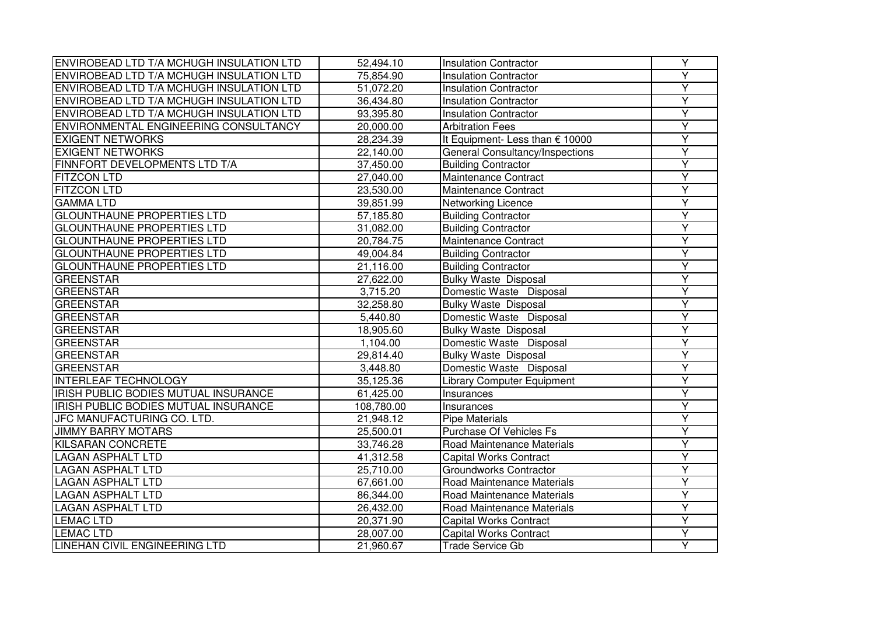| ENVIROBEAD LTD T/A MCHUGH INSULATION LTD    | 52,494.10                | <b>Insulation Contractor</b>      | Y                       |
|---------------------------------------------|--------------------------|-----------------------------------|-------------------------|
| ENVIROBEAD LTD T/A MCHUGH INSULATION LTD    | 75,854.90                | <b>Insulation Contractor</b>      | Y                       |
| ENVIROBEAD LTD T/A MCHUGH INSULATION LTD    | 51,072.20                | <b>Insulation Contractor</b>      | Y                       |
| ENVIROBEAD LTD T/A MCHUGH INSULATION LTD    | 36,434.80                | <b>Insulation Contractor</b>      | Y                       |
| ENVIROBEAD LTD T/A MCHUGH INSULATION LTD    | 93,395.80                | <b>Insulation Contractor</b>      | Ÿ                       |
| ENVIRONMENTAL ENGINEERING CONSULTANCY       | 20,000.00                | <b>Arbitration Fees</b>           | Y                       |
| <b>EXIGENT NETWORKS</b>                     | 28,234.39                | It Equipment- Less than € 10000   | Y                       |
| <b>EXIGENT NETWORKS</b>                     | 22,140.00                | General Consultancy/Inspections   | Y                       |
| FINNFORT DEVELOPMENTS LTD T/A               | 37,450.00                | <b>Building Contractor</b>        | Y                       |
| <b>FITZCON LTD</b>                          | 27,040.00                | Maintenance Contract              | Y                       |
| <b>FITZCON LTD</b>                          | 23,530.00                | Maintenance Contract              | $\overline{Y}$          |
| <b>GAMMALTD</b>                             | 39,851.99                | Networking Licence                | Ÿ                       |
| <b>GLOUNTHAUNE PROPERTIES LTD</b>           | 57,185.80                | <b>Building Contractor</b>        | Ÿ                       |
| <b>GLOUNTHAUNE PROPERTIES LTD</b>           | 31,082.00                | <b>Building Contractor</b>        | Y                       |
| <b>GLOUNTHAUNE PROPERTIES LTD</b>           | 20,784.75                | Maintenance Contract              | Ÿ                       |
| <b>GLOUNTHAUNE PROPERTIES LTD</b>           | 49,004.84                | <b>Building Contractor</b>        | Y                       |
| <b>GLOUNTHAUNE PROPERTIES LTD</b>           | 21,116.00                | <b>Building Contractor</b>        | Y                       |
| <b>GREENSTAR</b>                            | 27,622.00                | <b>Bulky Waste Disposal</b>       | Υ                       |
| <b>GREENSTAR</b>                            | 3,715.20                 | Domestic Waste Disposal           | Y                       |
| GREENSTAR                                   | 32,258.80                | <b>Bulky Waste Disposal</b>       | Y                       |
| <b>GREENSTAR</b>                            | 5,440.80                 | Domestic Waste Disposal           | Ÿ                       |
| <b>GREENSTAR</b>                            | 18,905.60                | <b>Bulky Waste Disposal</b>       | $\overline{\mathsf{Y}}$ |
| <b>GREENSTAR</b>                            | 1,104.00                 | Domestic Waste Disposal           | Y                       |
| <b>GREENSTAR</b>                            | 29,814.40                | <b>Bulky Waste Disposal</b>       | $\overline{\mathsf{Y}}$ |
| <b>GREENSTAR</b>                            | 3,448.80                 | Domestic Waste Disposal           | $\overline{Y}$          |
| <b>INTERLEAF TECHNOLOGY</b>                 | 35,125.36                | <b>Library Computer Equipment</b> | Y                       |
| <b>IRISH PUBLIC BODIES MUTUAL INSURANCE</b> | 61,425.00                | Insurances                        | Y                       |
| IRISH PUBLIC BODIES MUTUAL INSURANCE        | 108,780.00               | Insurances                        | Υ                       |
| <b>JFC MANUFACTURING CO. LTD.</b>           | 21,948.12                | <b>Pipe Materials</b>             | Ÿ                       |
| <b>JIMMY BARRY MOTARS</b>                   | 25,500.01                | Purchase Of Vehicles Fs           | Y                       |
| <b>KILSARAN CONCRETE</b>                    | 33,746.28                | Road Maintenance Materials        | Y                       |
| <b>LAGAN ASPHALT LTD</b>                    | 41,312.58                | <b>Capital Works Contract</b>     | $\overline{\mathsf{Y}}$ |
| <b>LAGAN ASPHALT LTD</b>                    | $\overline{25}$ , 710.00 | Groundworks Contractor            | $\overline{Y}$          |
| <b>LAGAN ASPHALT LTD</b>                    | 67,661.00                | Road Maintenance Materials        | Y                       |
| <b>LAGAN ASPHALT LTD</b>                    | 86,344.00                | Road Maintenance Materials        | Ÿ                       |
| <b>LAGAN ASPHALT LTD</b>                    | 26,432.00                | Road Maintenance Materials        | Y                       |
| <b>LEMAC LTD</b>                            | 20,371.90                | <b>Capital Works Contract</b>     | Υ                       |
| <b>LEMAC LTD</b>                            | 28,007.00                | <b>Capital Works Contract</b>     | Y                       |
| LINEHAN CIVIL ENGINEERING LTD               | 21,960.67                | <b>Trade Service Gb</b>           | Y                       |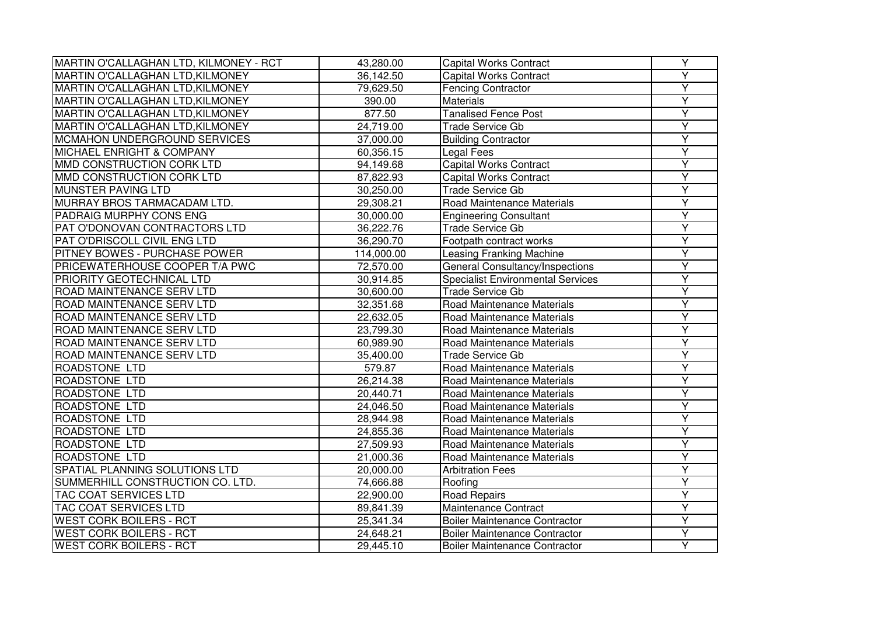| MARTIN O'CALLAGHAN LTD, KILMONEY - RCT  | 43,280.00  | <b>Capital Works Contract</b>            | Y                       |
|-----------------------------------------|------------|------------------------------------------|-------------------------|
| MARTIN O'CALLAGHAN LTD, KILMONEY        | 36,142.50  | <b>Capital Works Contract</b>            | Y                       |
| MARTIN O'CALLAGHAN LTD, KILMONEY        | 79,629.50  | <b>Fencing Contractor</b>                | $\overline{Y}$          |
| <b>MARTIN O'CALLAGHAN LTD, KILMONEY</b> | 390.00     | <b>Materials</b>                         | Ÿ                       |
| MARTIN O'CALLAGHAN LTD, KILMONEY        | 877.50     | <b>Tanalised Fence Post</b>              | Y                       |
| MARTIN O'CALLAGHAN LTD, KILMONEY        | 24,719.00  | <b>Trade Service Gb</b>                  | Y                       |
| <b>MCMAHON UNDERGROUND SERVICES</b>     | 37,000.00  | <b>Building Contractor</b>               | Y                       |
| <b>MICHAEL ENRIGHT &amp; COMPANY</b>    | 60,356.15  | Legal Fees                               | Y                       |
| MMD CONSTRUCTION CORK LTD               | 94,149.68  | <b>Capital Works Contract</b>            | Y                       |
| MMD CONSTRUCTION CORK LTD               | 87,822.93  | <b>Capital Works Contract</b>            | Y                       |
| MUNSTER PAVING LTD                      | 30,250.00  | <b>Trade Service Gb</b>                  | $\overline{Y}$          |
| MURRAY BROS TARMACADAM LTD.             | 29,308.21  | Road Maintenance Materials               | Ÿ                       |
| PADRAIG MURPHY CONS ENG                 | 30,000.00  | <b>Engineering Consultant</b>            | $\overline{\mathsf{Y}}$ |
| PAT O'DONOVAN CONTRACTORS LTD           | 36,222.76  | <b>Trade Service Gb</b>                  | Y                       |
| PAT O'DRISCOLL CIVIL ENG LTD            | 36,290.70  | Footpath contract works                  | Y                       |
| <b>PITNEY BOWES - PURCHASE POWER</b>    | 114,000.00 | <b>Leasing Franking Machine</b>          | $\overline{Y}$          |
| PRICEWATERHOUSE COOPER T/A PWC          | 72,570.00  | General Consultancy/Inspections          | Y                       |
| PRIORITY GEOTECHNICAL LTD               | 30,914.85  | <b>Specialist Environmental Services</b> | Y                       |
| ROAD MAINTENANCE SERV LTD               | 30,600.00  | <b>Trade Service Gb</b>                  | Y                       |
| ROAD MAINTENANCE SERV LTD               | 32,351.68  | Road Maintenance Materials               | Y                       |
| ROAD MAINTENANCE SERV LTD               | 22,632.05  | Road Maintenance Materials               | Ÿ                       |
| ROAD MAINTENANCE SERV LTD               | 23,799.30  | Road Maintenance Materials               | Y                       |
| ROAD MAINTENANCE SERV LTD               | 60,989.90  | Road Maintenance Materials               | $\overline{\mathsf{Y}}$ |
| ROAD MAINTENANCE SERV LTD               | 35,400.00  | <b>Trade Service Gb</b>                  | Y                       |
| ROADSTONE LTD                           | 579.87     | Road Maintenance Materials               | Y                       |
| <b>ROADSTONE LTD</b>                    | 26,214.38  | Road Maintenance Materials               | $\overline{Y}$          |
| <b>ROADSTONE LTD</b>                    | 20,440.71  | Road Maintenance Materials               | Y                       |
| <b>ROADSTONE LTD</b>                    | 24,046.50  | Road Maintenance Materials               | Y                       |
| <b>ROADSTONE LTD</b>                    | 28,944.98  | Road Maintenance Materials               | Υ                       |
| ROADSTONE LTD                           | 24,855.36  | Road Maintenance Materials               | Y                       |
| ROADSTONE LTD                           | 27,509.93  | Road Maintenance Materials               | $\overline{Y}$          |
| <b>ROADSTONE LTD</b>                    | 21,000.36  | Road Maintenance Materials               | Ÿ                       |
| SPATIAL PLANNING SOLUTIONS LTD          | 20,000.00  | <b>Arbitration Fees</b>                  | Y                       |
| SUMMERHILL CONSTRUCTION CO. LTD.        | 74,666.88  | Roofing                                  | $\overline{Y}$          |
| <b>TAC COAT SERVICES LTD</b>            | 22,900.00  | Road Repairs                             | $\overline{\mathsf{Y}}$ |
| <b>TAC COAT SERVICES LTD</b>            | 89,841.39  | Maintenance Contract                     | $\overline{Y}$          |
| <b>WEST CORK BOILERS - RCT</b>          | 25,341.34  | <b>Boiler Maintenance Contractor</b>     | $\overline{Y}$          |
| <b>WEST CORK BOILERS - RCT</b>          | 24,648.21  | <b>Boiler Maintenance Contractor</b>     | Y                       |
| <b>WEST CORK BOILERS - RCT</b>          | 29,445.10  | <b>Boiler Maintenance Contractor</b>     | Y                       |